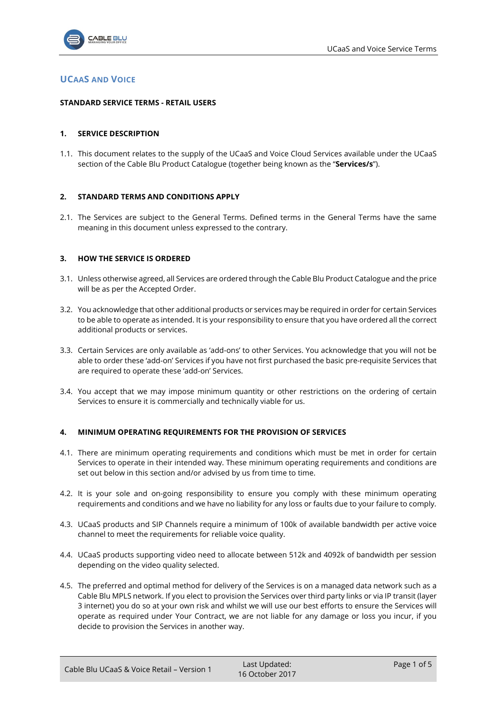

# **UCAAS AND VOICE**

### **STANDARD SERVICE TERMS - RETAIL USERS**

### **1. SERVICE DESCRIPTION**

1.1. This document relates to the supply of the UCaaS and Voice Cloud Services available under the UCaaS section of the Cable Blu Product Catalogue (together being known as the "**Services/s**").

### **2. STANDARD TERMS AND CONDITIONS APPLY**

2.1. The Services are subject to the General Terms. Defined terms in the General Terms have the same meaning in this document unless expressed to the contrary.

### **3. HOW THE SERVICE IS ORDERED**

- 3.1. Unless otherwise agreed, all Services are ordered through the Cable Blu Product Catalogue and the price will be as per the Accepted Order.
- 3.2. You acknowledge that other additional products or services may be required in order for certain Services to be able to operate as intended. It is your responsibility to ensure that you have ordered all the correct additional products or services.
- 3.3. Certain Services are only available as 'add-ons' to other Services. You acknowledge that you will not be able to order these 'add-on' Services if you have not first purchased the basic pre-requisite Services that are required to operate these 'add-on' Services.
- 3.4. You accept that we may impose minimum quantity or other restrictions on the ordering of certain Services to ensure it is commercially and technically viable for us.

#### **4. MINIMUM OPERATING REQUIREMENTS FOR THE PROVISION OF SERVICES**

- 4.1. There are minimum operating requirements and conditions which must be met in order for certain Services to operate in their intended way. These minimum operating requirements and conditions are set out below in this section and/or advised by us from time to time.
- 4.2. It is your sole and on-going responsibility to ensure you comply with these minimum operating requirements and conditions and we have no liability for any loss or faults due to your failure to comply.
- 4.3. UCaaS products and SIP Channels require a minimum of 100k of available bandwidth per active voice channel to meet the requirements for reliable voice quality.
- 4.4. UCaaS products supporting video need to allocate between 512k and 4092k of bandwidth per session depending on the video quality selected.
- 4.5. The preferred and optimal method for delivery of the Services is on a managed data network such as a Cable Blu MPLS network. If you elect to provision the Services over third party links or via IP transit (layer 3 internet) you do so at your own risk and whilst we will use our best efforts to ensure the Services will operate as required under Your Contract, we are not liable for any damage or loss you incur, if you decide to provision the Services in another way.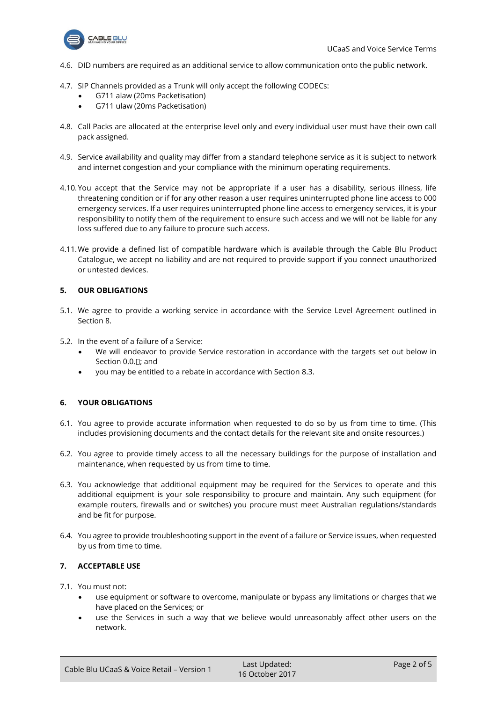

- 4.6. DID numbers are required as an additional service to allow communication onto the public network.
- 4.7. SIP Channels provided as a Trunk will only accept the following CODECs:
	- G711 alaw (20ms Packetisation)
	- G711 ulaw (20ms Packetisation)
- 4.8. Call Packs are allocated at the enterprise level only and every individual user must have their own call pack assigned.
- 4.9. Service availability and quality may differ from a standard telephone service as it is subject to network and internet congestion and your compliance with the minimum operating requirements.
- 4.10.You accept that the Service may not be appropriate if a user has a disability, serious illness, life threatening condition or if for any other reason a user requires uninterrupted phone line access to 000 emergency services. If a user requires uninterrupted phone line access to emergency services, it is your responsibility to notify them of the requirement to ensure such access and we will not be liable for any loss suffered due to any failure to procure such access.
- 4.11.We provide a defined list of compatible hardware which is available through the Cable Blu Product Catalogue, we accept no liability and are not required to provide support if you connect unauthorized or untested devices.

# **5. OUR OBLIGATIONS**

- 5.1. We agree to provide a working service in accordance with the Service Level Agreement outlined in Section [8.](#page-2-0)
- 5.2. In the event of a failure of a Service:
	- We will endeavor to provide Service restoration in accordance with the targets set out below in Sectio[n 0.0.](#page-3-0)<sup>[]</sup>; and
	- you may be entitled to a rebate in accordance with Section [8.3.](#page-4-0)

## **6. YOUR OBLIGATIONS**

- 6.1. You agree to provide accurate information when requested to do so by us from time to time. (This includes provisioning documents and the contact details for the relevant site and onsite resources.)
- 6.2. You agree to provide timely access to all the necessary buildings for the purpose of installation and maintenance, when requested by us from time to time.
- 6.3. You acknowledge that additional equipment may be required for the Services to operate and this additional equipment is your sole responsibility to procure and maintain. Any such equipment (for example routers, firewalls and or switches) you procure must meet Australian regulations/standards and be fit for purpose.
- 6.4. You agree to provide troubleshooting support in the event of a failure or Service issues, when requested by us from time to time.

## **7. ACCEPTABLE USE**

- 7.1. You must not:
	- use equipment or software to overcome, manipulate or bypass any limitations or charges that we have placed on the Services; or
	- use the Services in such a way that we believe would unreasonably affect other users on the network.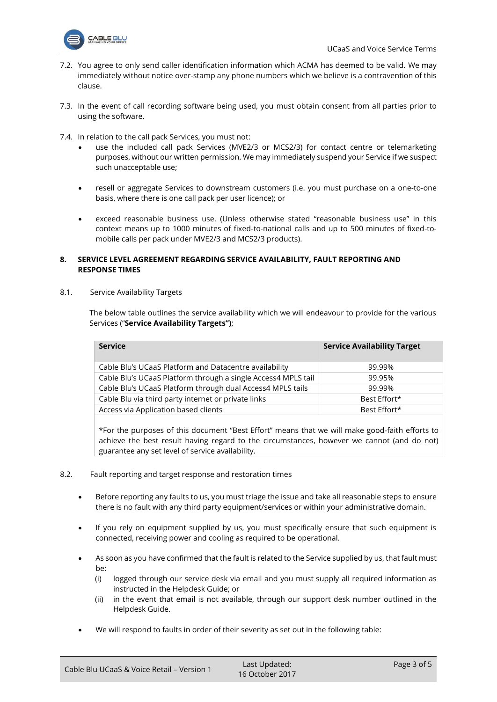

- 7.2. You agree to only send caller identification information which ACMA has deemed to be valid. We may immediately without notice over-stamp any phone numbers which we believe is a contravention of this clause.
- 7.3. In the event of call recording software being used, you must obtain consent from all parties prior to using the software.
- 7.4. In relation to the call pack Services, you must not:
	- use the included call pack Services (MVE2/3 or MCS2/3) for contact centre or telemarketing purposes, without our written permission. We may immediately suspend your Service if we suspect such unacceptable use;
	- resell or aggregate Services to downstream customers (i.e. you must purchase on a one-to-one basis, where there is one call pack per user licence); or
	- exceed reasonable business use. (Unless otherwise stated "reasonable business use" in this context means up to 1000 minutes of fixed-to-national calls and up to 500 minutes of fixed-tomobile calls per pack under MVE2/3 and MCS2/3 products).

## <span id="page-2-0"></span>**8. SERVICE LEVEL AGREEMENT REGARDING SERVICE AVAILABILITY, FAULT REPORTING AND RESPONSE TIMES**

<span id="page-2-1"></span>8.1. Service Availability Targets

The below table outlines the service availability which we will endeavour to provide for the various Services ("**Service Availability Targets")**;

| <b>Service</b>                                                | <b>Service Availability Target</b> |
|---------------------------------------------------------------|------------------------------------|
| Cable Blu's UCaaS Platform and Datacentre availability        | 99.99%                             |
| Cable Blu's UCaaS Platform through a single Access4 MPLS tail | 99.95%                             |
| Cable Blu's UCaaS Platform through dual Access4 MPLS tails    | 99.99%                             |
| Cable Blu via third party internet or private links           | Best Effort*                       |
| Access via Application based clients                          | Best Effort*                       |
|                                                               |                                    |

\*For the purposes of this document "Best Effort" means that we will make good-faith efforts to achieve the best result having regard to the circumstances, however we cannot (and do not) guarantee any set level of service availability.

- <span id="page-2-2"></span>8.2. Fault reporting and target response and restoration times
	- Before reporting any faults to us, you must triage the issue and take all reasonable steps to ensure there is no fault with any third party equipment/services or within your administrative domain.
	- If you rely on equipment supplied by us, you must specifically ensure that such equipment is connected, receiving power and cooling as required to be operational.
	- As soon as you have confirmed that the fault is related to the Service supplied by us, that fault must be:
		- (i) logged through our service desk via email and you must supply all required information as instructed in the Helpdesk Guide; or
		- (ii) in the event that email is not available, through our support desk number outlined in the Helpdesk Guide.
	- We will respond to faults in order of their severity as set out in the following table: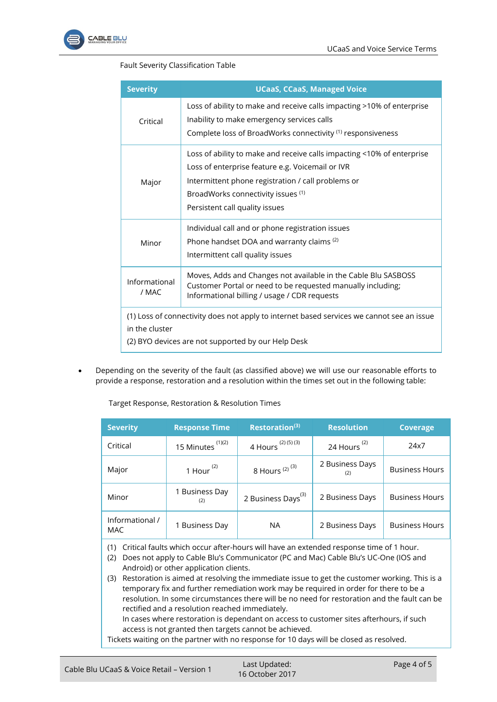

# Fault Severity Classification Table

| <b>Severity</b>        | <b>UCaaS, CCaaS, Managed Voice</b>                                                                                                                                                                                                                       |
|------------------------|----------------------------------------------------------------------------------------------------------------------------------------------------------------------------------------------------------------------------------------------------------|
| Critical               | Loss of ability to make and receive calls impacting >10% of enterprise<br>Inability to make emergency services calls<br>Complete loss of BroadWorks connectivity (1) responsiveness                                                                      |
| Major                  | Loss of ability to make and receive calls impacting <10% of enterprise<br>Loss of enterprise feature e.g. Voicemail or IVR<br>Intermittent phone registration / call problems or<br>BroadWorks connectivity issues (1)<br>Persistent call quality issues |
| Minor                  | Individual call and or phone registration issues<br>Phone handset DOA and warranty claims <sup>(2)</sup><br>Intermittent call quality issues                                                                                                             |
| Informational<br>/ MAC | Moves, Adds and Changes not available in the Cable Blu SASBOSS<br>Customer Portal or need to be requested manually including;<br>Informational billing / usage / CDR requests                                                                            |
| in the cluster         | (1) Loss of connectivity does not apply to internet based services we cannot see an issue<br>(2) BYO devices are not supported by our Help Desk                                                                                                          |

<span id="page-3-0"></span>• Depending on the severity of the fault (as classified above) we will use our reasonable efforts to provide a response, restoration and a resolution within the times set out in the following table:

Target Response, Restoration & Resolution Times

| <b>Severity</b>               | <b>Response Time</b>  | <b>Restoration(3)</b>          | <b>Resolution</b>       | <b>Coverage</b>       |
|-------------------------------|-----------------------|--------------------------------|-------------------------|-----------------------|
| Critical                      | 15 Minutes $(1)(2)$   | 4 Hours <sup>(2)(5)(3)</sup>   | 24 Hours <sup>(2)</sup> | 24x7                  |
| Major                         | 1 Hour $(2)$          | 8 Hours $(2)$ $(3)$            | 2 Business Days<br>(2)  | <b>Business Hours</b> |
| Minor                         | 1 Business Day<br>(2) | 2 Business Days <sup>(3)</sup> | 2 Business Days         | <b>Business Hours</b> |
| Informational /<br><b>MAC</b> | 1 Business Day        | <b>NA</b>                      | 2 Business Days         | <b>Business Hours</b> |

- (1) Critical faults which occur after-hours will have an extended response time of 1 hour.
- (2) Does not apply to Cable Blu's Communicator (PC and Mac) Cable Blu's UC-One (IOS and Android) or other application clients.

(3) Restoration is aimed at resolving the immediate issue to get the customer working. This is a temporary fix and further remediation work may be required in order for there to be a resolution. In some circumstances there will be no need for restoration and the fault can be rectified and a resolution reached immediately.

In cases where restoration is dependant on access to customer sites afterhours, if such access is not granted then targets cannot be achieved.

Tickets waiting on the partner with no response for 10 days will be closed as resolved.